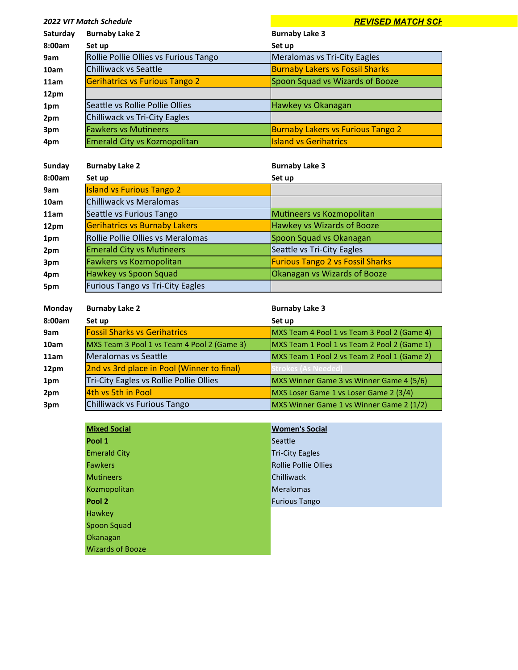| <b>2022 VIT Match Schedule</b> |                                       | <b>REVISED MATCH SCH</b>                 |
|--------------------------------|---------------------------------------|------------------------------------------|
| Saturday                       | <b>Burnaby Lake 2</b>                 | <b>Burnaby Lake 3</b>                    |
| 8:00am                         | Set up                                | Set up                                   |
| 9am                            | Rollie Pollie Ollies vs Furious Tango | Meralomas vs Tri-City Eagles             |
| 10am                           | Chilliwack vs Seattle                 | <b>Burnaby Lakers vs Fossil Sharks</b>   |
| 11am                           | <b>Gerihatrics vs Furious Tango 2</b> | Spoon Squad vs Wizards of Booze          |
| 12pm                           |                                       |                                          |
| 1pm                            | Seattle vs Rollie Pollie Ollies       | Hawkey vs Okanagan                       |
| 2pm                            | Chilliwack vs Tri-City Eagles         |                                          |
| 3pm                            | <b>Fawkers vs Mutineers</b>           | <b>Burnaby Lakers vs Furious Tango 2</b> |
| 4pm                            | Emerald City vs Kozmopolitan          | <b>Island vs Gerihatrics</b>             |
|                                |                                       |                                          |
| Sunday                         | <b>Burnaby Lake 2</b>                 | <b>Burnaby Lake 3</b>                    |
| 8:00am                         | Set up                                | Set up                                   |
| 9am                            | <b>Island vs Furious Tango 2</b>      |                                          |

| 10am | Chilliwack vs Meralomas                 |                                         |
|------|-----------------------------------------|-----------------------------------------|
| 11am | Seattle vs Furious Tango                | Mutineers vs Kozmopolitan               |
| 12pm | <b>Gerihatrics vs Burnaby Lakers</b>    | Hawkey vs Wizards of Booze              |
| 1pm  | Rollie Pollie Ollies vs Meralomas       | Spoon Squad vs Okanagan                 |
| 2pm  | <b>Emerald City vs Mutineers</b>        | Seattle vs Tri-City Eagles              |
| 3pm  | Fawkers vs Kozmopolitan                 | <b>Furious Tango 2 vs Fossil Sharks</b> |
| 4pm  | Hawkey vs Spoon Squad                   | Okanagan vs Wizards of Booze            |
| 5pm  | <b>Furious Tango vs Tri-City Eagles</b> |                                         |
|      |                                         |                                         |

| Monday | <b>Burnaby Lake 2</b>                       | <b>Burnaby Lake 3</b>                       |
|--------|---------------------------------------------|---------------------------------------------|
| 8:00am | Set up                                      | Set up                                      |
| 9am    | <b>Fossil Sharks vs Gerihatrics</b>         | MXS Team 4 Pool 1 vs Team 3 Pool 2 (Game 4) |
| 10am   | MXS Team 3 Pool 1 vs Team 4 Pool 2 (Game 3) | MXS Team 1 Pool 1 vs Team 2 Pool 2 (Game 1) |
| 11am   | lMeralomas vs Seattle                       | MXS Team 1 Pool 2 vs Team 2 Pool 1 (Game 2) |
| 12pm   | 2nd vs 3rd place in Pool (Winner to final)  | <b>Strokes (As Needed)</b>                  |
| 1pm    | Tri-City Eagles vs Rollie Pollie Ollies     | MXS Winner Game 3 vs Winner Game 4 (5/6)    |
| 2pm    | 4th vs 5th in Pool                          | MXS Loser Game 1 vs Loser Game 2 (3/4)      |
| 3pm    | Chilliwack vs Furious Tango                 | MXS Winner Game 1 vs Winner Game 2 (1/2)    |

| <b>Mixed Social</b>     | <b>Women's Social</b>       |
|-------------------------|-----------------------------|
| Pool 1                  | Seattle                     |
| <b>Emerald City</b>     | <b>Tri-City Eagles</b>      |
| <b>Fawkers</b>          | <b>Rollie Pollie Ollies</b> |
| <b>Mutineers</b>        | Chilliwack                  |
| Kozmopolitan            | <b>Meralomas</b>            |
| Pool 2                  | <b>Furious Tango</b>        |
| <b>Hawkey</b>           |                             |
| Spoon Squad             |                             |
| Okanagan                |                             |
| <b>Wizards of Booze</b> |                             |